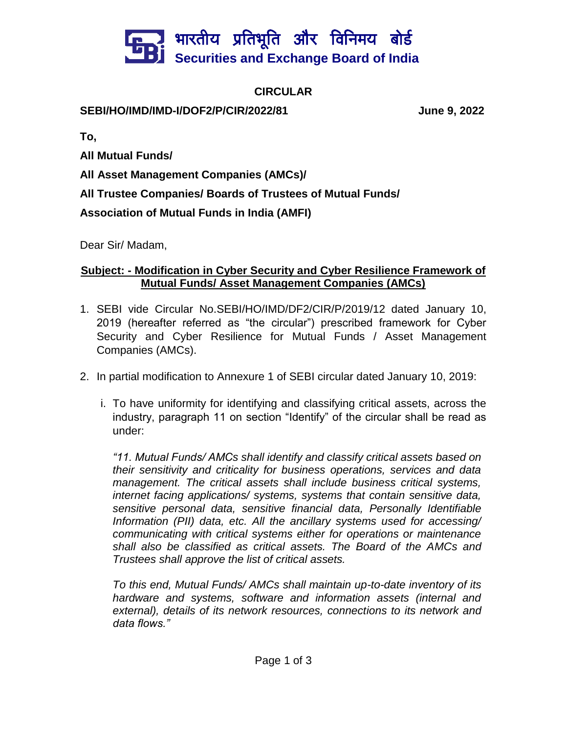

### **CIRCULAR**

### **SEBI/HO/IMD/IMD-I/DOF2/P/CIR/2022/81 June 9, 2022**

**To,**

**All Mutual Funds/**

**All Asset Management Companies (AMCs)/**

**All Trustee Companies/ Boards of Trustees of Mutual Funds/**

**Association of Mutual Funds in India (AMFI)**

Dear Sir/ Madam,

### **Subject: - Modification in Cyber Security and Cyber Resilience Framework of Mutual Funds/ Asset Management Companies (AMCs)**

- 1. SEBI vide Circular No.SEBI/HO/IMD/DF2/CIR/P/2019/12 dated January 10, 2019 (hereafter referred as "the circular") prescribed framework for Cyber Security and Cyber Resilience for Mutual Funds / Asset Management Companies (AMCs).
- 2. In partial modification to Annexure 1 of SEBI circular dated January 10, 2019:
	- i. To have uniformity for identifying and classifying critical assets, across the industry, paragraph 11 on section "Identify" of the circular shall be read as under:

*"11. Mutual Funds/ AMCs shall identify and classify critical assets based on their sensitivity and criticality for business operations, services and data management. The critical assets shall include business critical systems, internet facing applications/ systems, systems that contain sensitive data, sensitive personal data, sensitive financial data, Personally Identifiable Information (PII) data, etc. All the ancillary systems used for accessing/ communicating with critical systems either for operations or maintenance shall also be classified as critical assets. The Board of the AMCs and Trustees shall approve the list of critical assets.*

*To this end, Mutual Funds/ AMCs shall maintain up-to-date inventory of its hardware and systems, software and information assets (internal and external), details of its network resources, connections to its network and data flows."*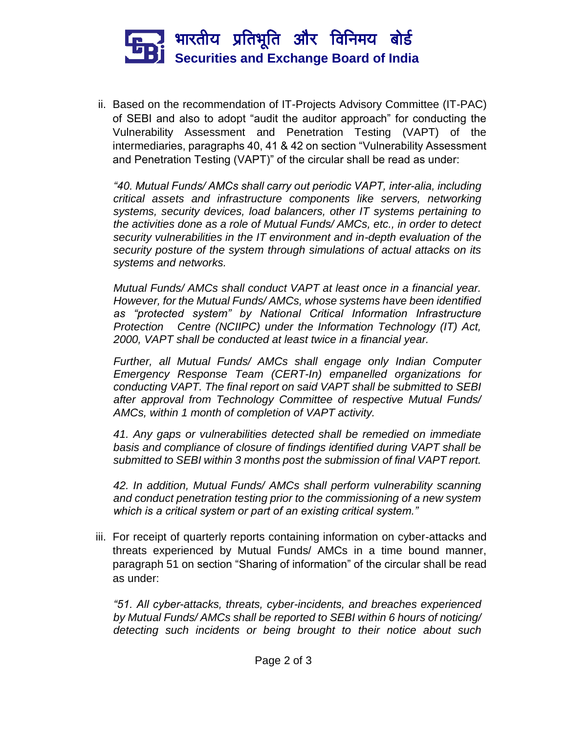# ! भारतीय प्रतिभूति और विनिमय बोर्ड **Securities and Exchange Board of India**

ii. Based on the recommendation of IT-Projects Advisory Committee (IT-PAC) of SEBI and also to adopt "audit the auditor approach" for conducting the Vulnerability Assessment and Penetration Testing (VAPT) of the intermediaries, paragraphs 40, 41 & 42 on section "Vulnerability Assessment and Penetration Testing (VAPT)" of the circular shall be read as under:

*"40. Mutual Funds/ AMCs shall carry out periodic VAPT, inter-alia, including critical assets and infrastructure components like servers, networking systems, security devices, load balancers, other IT systems pertaining to the activities done as a role of Mutual Funds/ AMCs, etc., in order to detect security vulnerabilities in the IT environment and in-depth evaluation of the security posture of the system through simulations of actual attacks on its systems and networks.*

*Mutual Funds/ AMCs shall conduct VAPT at least once in a financial year. However, for the Mutual Funds/ AMCs, whose systems have been identified as "protected system" by National Critical Information Infrastructure Protection Centre (NCIIPC) under the Information Technology (IT) Act, 2000, VAPT shall be conducted at least twice in a financial year.* 

*Further, all Mutual Funds/ AMCs shall engage only Indian Computer Emergency Response Team (CERT-In) empanelled organizations for conducting VAPT. The final report on said VAPT shall be submitted to SEBI after approval from Technology Committee of respective Mutual Funds/ AMCs, within 1 month of completion of VAPT activity.* 

*41. Any gaps or vulnerabilities detected shall be remedied on immediate basis and compliance of closure of findings identified during VAPT shall be submitted to SEBI within 3 months post the submission of final VAPT report.*

*42. In addition, Mutual Funds/ AMCs shall perform vulnerability scanning and conduct penetration testing prior to the commissioning of a new system which is a critical system or part of an existing critical system."*

iii. For receipt of quarterly reports containing information on cyber-attacks and threats experienced by Mutual Funds/ AMCs in a time bound manner, paragraph 51 on section "Sharing of information" of the circular shall be read as under:

*"51. All cyber-attacks, threats, cyber-incidents, and breaches experienced by Mutual Funds/ AMCs shall be reported to SEBI within 6 hours of noticing/ detecting such incidents or being brought to their notice about such*